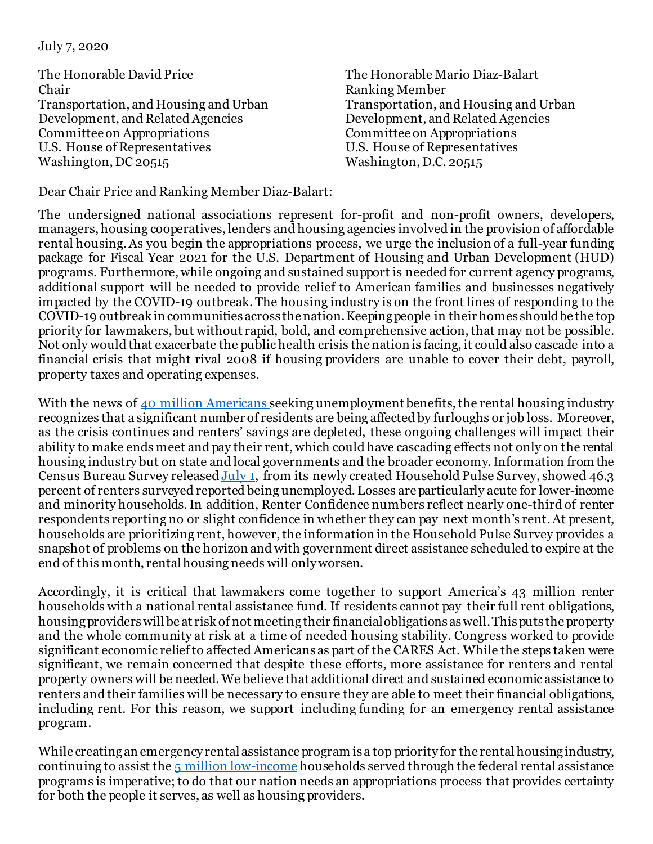July 7, 2020

The Honorable David Price Chair Transportation, and Housing and Urban Development, and Related Agencies Committee on Appropriations U.S. House of Representatives Washington, DC 20515

The Honorable Mario Diaz-Balart Ranking Member Transportation, and Housing and Urban Development, and Related Agencies Committee on Appropriations U.S. House of Representatives Washington, D.C. 20515

Dear Chair Price and Ranking Member Diaz-Balart:

The undersigned national associations represent for-profit and non-profit owners, developers, managers, housing cooperatives, lenders and housing agencies involved in the provision of affordable rental housing. As you begin the appropriations process, we urge the inclusion of a full-year funding package for Fiscal Year 2021 for the U.S. Department of Housing and Urban Development (HUD) programs. Furthermore, while ongoing and sustained support is needed for current agency programs, additional support will be needed to provide relief to American families and businesses negatively impacted by the COVID-19 outbreak. The housing industry is on the front lines of responding to the COVID-19 outbreak in communities across the nation. Keeping people in their homes should be the top priority for lawmakers, but without rapid, bold, and comprehensive action, that may not be possible. Not only would that exacerbate the public health crisis the nation is facing, it could also cascade into a financial crisis that might rival 2008 if housing providers are unable to cover their debt, payroll, property taxes and operating expenses.

With the news of [40 million Americans s](https://www.washingtonpost.com/business/2020/05/28/unemployment-claims-coronavirus/)eeking unemployment benefits, the rental housing industry recognizes that a significant number of residents are being affected by furloughs or job loss. Moreover, as the crisis continues and renters' savings are depleted, these ongoing challenges will impact their ability to make ends meet and pay their rent, which could have cascading effects not only on the rental housing industry but on state and local governments and the broader economy. Information from the Census Bureau Survey released [July 1,](https://www.census.gov/data/tables/2020/demo/hhp/hhp8.html) from its newly created Household Pulse Survey, showed 46.3 percent of renters surveyed reported being unemployed. Losses are particularly acute for lower-income and minority households.In addition, Renter Confidence numbers reflect nearly one-third of renter respondents reporting no or slight confidence in whether they can pay next month's rent. At present, households are prioritizing rent, however, the information in the Household Pulse Survey provides a snapshot of problems on the horizon and with government direct assistance scheduled to expire at the end of this month, rental housing needs will only worsen.

Accordingly, it is critical that lawmakers come together to support America's 43 million renter households with a national rental assistance fund. If residents cannot pay their full rent obligations, housing providers will be at risk of not meeting their financial obligations as well. This puts the property and the whole community at risk at a time of needed housing stability. Congress worked to provide significant economic relief to affected Americans as part of the CARES Act. While the steps taken were significant, we remain concerned that despite these efforts, more assistance for renters and rental property owners will be needed. We believe that additional direct and sustained economic assistance to renters and their families will be necessary to ensure they are able to meet their financial obligations, including rent. For this reason, we support including funding for an emergency rental assistance program.

While creating an emergency rental assistance program is a top priority for the rental housing industry, continuing to assist th[e 5 million low-income](https://www.cbpp.org/research/housing/national-and-state-housing-fact-sheets-data?fa=view&id=3586) households served through the federal rental assistance programs is imperative; to do that our nation needs an appropriations process that provides certainty for both the people it serves, as well as housing providers.